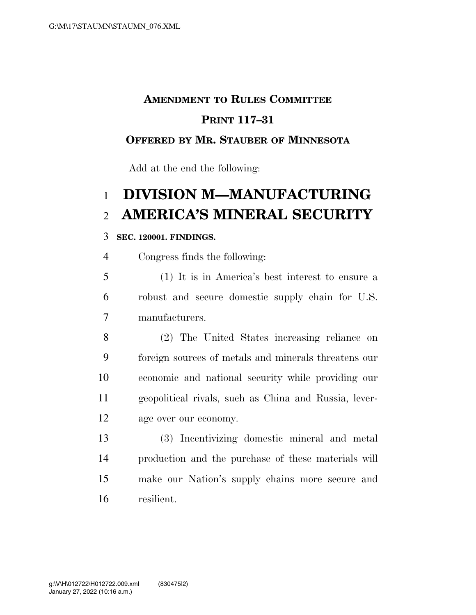### **AMENDMENT TO RULES COMMITTEE**

### **PRINT 117–31**

### **OFFERED BY MR. STAUBER OF MINNESOTA**

Add at the end the following:

# **DIVISION M—MANUFACTURING AMERICA'S MINERAL SECURITY**

#### **SEC. 120001. FINDINGS.**

Congress finds the following:

 (1) It is in America's best interest to ensure a robust and secure domestic supply chain for U.S. manufacturers.

 (2) The United States increasing reliance on foreign sources of metals and minerals threatens our economic and national security while providing our geopolitical rivals, such as China and Russia, lever-age over our economy.

 (3) Incentivizing domestic mineral and metal production and the purchase of these materials will make our Nation's supply chains more secure and resilient.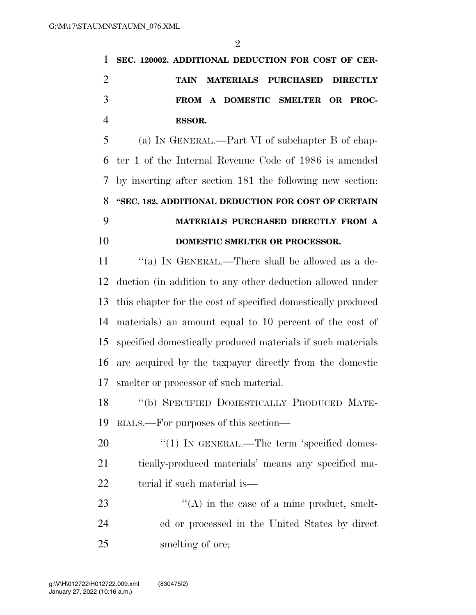| 1 SEC. 120002. ADDITIONAL DEDUCTION FOR COST OF CER- |
|------------------------------------------------------|
| TAIN MATERIALS PURCHASED DIRECTLY                    |
| FROM A DOMESTIC SMELTER OR PROC-                     |
| ESSOR.                                               |
|                                                      |

 (a) IN GENERAL.—Part VI of subchapter B of chap- ter 1 of the Internal Revenue Code of 1986 is amended by inserting after section 181 the following new section: **''SEC. 182. ADDITIONAL DEDUCTION FOR COST OF CERTAIN MATERIALS PURCHASED DIRECTLY FROM A DOMESTIC SMELTER OR PROCESSOR.** 

11 ""(a) In GENERAL.—There shall be allowed as a de- duction (in addition to any other deduction allowed under this chapter for the cost of specified domestically produced materials) an amount equal to 10 percent of the cost of specified domestically produced materials if such materials are acquired by the taxpayer directly from the domestic smelter or processor of such material.

 ''(b) SPECIFIED DOMESTICALLY PRODUCED MATE-RIALS.—For purposes of this section—

20 "(1) IN GENERAL.—The term 'specified domes- tically-produced materials' means any specified ma-22 terial if such material is—

23 ''(A) in the case of a mine product, smelt- ed or processed in the United States by direct 25 smelting of ore;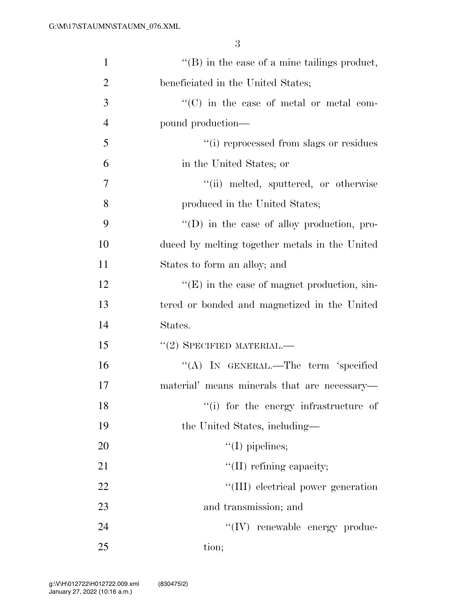3

| $\mathbf{1}$   | $\lq\lq$ (B) in the case of a mine tailings product, |
|----------------|------------------------------------------------------|
| $\overline{2}$ | beneficiated in the United States;                   |
| 3              | "(C) in the case of metal or metal com-              |
| $\overline{4}$ | pound production—                                    |
| 5              | "(i) reprocessed from slags or residues              |
| 6              | in the United States; or                             |
| $\tau$         | "(ii) melted, sputtered, or otherwise                |
| 8              | produced in the United States;                       |
| 9              | $\lq\lq$ (D) in the case of alloy production, pro-   |
| 10             | duced by melting together metals in the United       |
| 11             | States to form an alloy; and                         |
| 12             | $\lq\lq(E)$ in the case of magnet production, sin-   |
| 13             | tered or bonded and magnetized in the United         |
| 14             | States.                                              |
| 15             | $``(2)$ SPECIFIED MATERIAL.—                         |
| 16             | "(A) IN GENERAL.—The term 'specified                 |
| 17             | material' means minerals that are necessary-         |
| 18             | "(i) for the energy infrastructure of                |
| 19             | the United States, including—                        |
| 20             | $\lq\lq$ (I) pipelines;                              |
| 21             | $\lq\lq$ (II) refining capacity;                     |
| 22             | "(III) electrical power generation                   |
| 23             | and transmission; and                                |
| 24             | "(IV) renewable energy produc-                       |
| 25             | tion;                                                |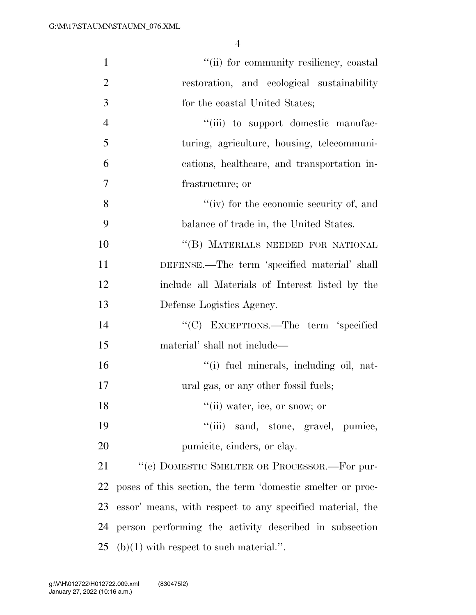4

| $\mathbf{1}$   | "(ii) for community resiliency, coastal                    |
|----------------|------------------------------------------------------------|
| $\overline{2}$ | restoration, and ecological sustainability                 |
| 3              | for the coastal United States;                             |
| $\overline{4}$ | "(iii) to support domestic manufac-                        |
| 5              | turing, agriculture, housing, telecommuni-                 |
| 6              | cations, healthcare, and transportation in-                |
| 7              | frastructure; or                                           |
| 8              | "(iv) for the economic security of, and                    |
| 9              | balance of trade in, the United States.                    |
| 10             | "(B) MATERIALS NEEDED FOR NATIONAL                         |
| 11             | DEFENSE.—The term 'specified material' shall               |
| 12             | include all Materials of Interest listed by the            |
| 13             | Defense Logistics Agency.                                  |
| 14             | "(C) EXCEPTIONS.—The term 'specified                       |
| 15             | material' shall not include—                               |
| 16             | "(i) fuel minerals, including oil, nat-                    |
| 17             | ural gas, or any other fossil fuels;                       |
| 18             | "(ii) water, ice, or snow; or                              |
| 19             | "(iii) sand, stone, gravel, pumice,                        |
| 20             | pumicite, einders, or clay.                                |
| 21             | "(c) DOMESTIC SMELTER OR PROCESSOR.—For pur-               |
| 22             | poses of this section, the term 'domestic smelter or proc- |
| 23             | essor' means, with respect to any specified material, the  |
| 24             | person performing the activity described in subsection     |
| 25             | $(b)(1)$ with respect to such material.".                  |